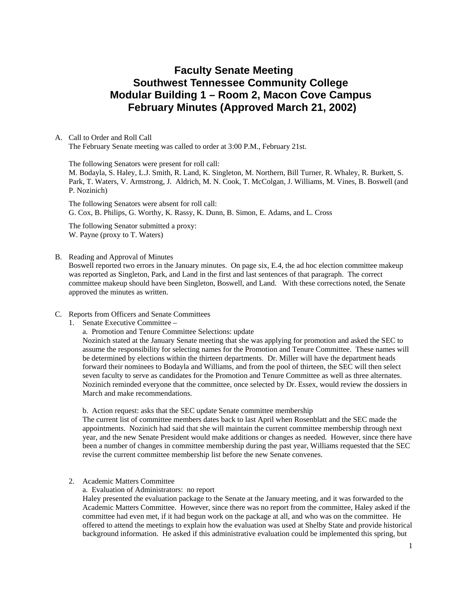# **Faculty Senate Meeting Southwest Tennessee Community College Modular Building 1 – Room 2, Macon Cove Campus February Minutes (Approved March 21, 2002)**

#### A. Call to Order and Roll Call The February Senate meeting was called to order at 3:00 P.M., February 21st.

The following Senators were present for roll call:

M. Bodayla, S. Haley, L.J. Smith, R. Land, K. Singleton, M. Northern, Bill Turner, R. Whaley, R. Burkett, S. Park, T. Waters, V. Armstrong, J. Aldrich, M. N. Cook, T. McColgan, J. Williams, M. Vines, B. Boswell (and P. Nozinich)

The following Senators were absent for roll call: G. Cox, B. Philips, G. Worthy, K. Rassy, K. Dunn, B. Simon, E. Adams, and L. Cross

The following Senator submitted a proxy: W. Payne (proxy to T. Waters)

B. Reading and Approval of Minutes

Boswell reported two errors in the January minutes. On page six, E.4, the ad hoc election committee makeup was reported as Singleton, Park, and Land in the first and last sentences of that paragraph. The correct committee makeup should have been Singleton, Boswell, and Land. With these corrections noted, the Senate approved the minutes as written.

#### C. Reports from Officers and Senate Committees

- 1. Senate Executive Committee
	- a. Promotion and Tenure Committee Selections: update

Nozinich stated at the January Senate meeting that she was applying for promotion and asked the SEC to assume the responsibility for selecting names for the Promotion and Tenure Committee. These names will be determined by elections within the thirteen departments. Dr. Miller will have the department heads forward their nominees to Bodayla and Williams, and from the pool of thirteen, the SEC will then select seven faculty to serve as candidates for the Promotion and Tenure Committee as well as three alternates. Nozinich reminded everyone that the committee, once selected by Dr. Essex, would review the dossiers in March and make recommendations.

b. Action request: asks that the SEC update Senate committee membership

The current list of committee members dates back to last April when Rosenblatt and the SEC made the appointments. Nozinich had said that she will maintain the current committee membership through next year, and the new Senate President would make additions or changes as needed. However, since there have been a number of changes in committee membership during the past year, Williams requested that the SEC revise the current committee membership list before the new Senate convenes.

2. Academic Matters Committee

a. Evaluation of Administrators: no report

Haley presented the evaluation package to the Senate at the January meeting, and it was forwarded to the Academic Matters Committee. However, since there was no report from the committee, Haley asked if the committee had even met, if it had begun work on the package at all, and who was on the committee. He offered to attend the meetings to explain how the evaluation was used at Shelby State and provide historical background information. He asked if this administrative evaluation could be implemented this spring, but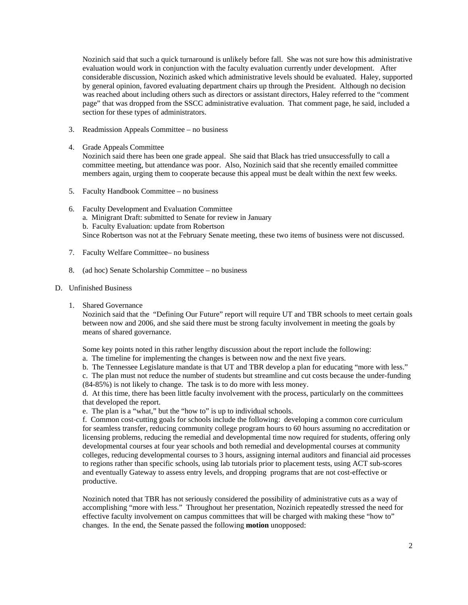Nozinich said that such a quick turnaround is unlikely before fall. She was not sure how this administrative evaluation would work in conjunction with the faculty evaluation currently under development. After considerable discussion, Nozinich asked which administrative levels should be evaluated. Haley, supported by general opinion, favored evaluating department chairs up through the President. Although no decision was reached about including others such as directors or assistant directors, Haley referred to the "comment page" that was dropped from the SSCC administrative evaluation. That comment page, he said, included a section for these types of administrators.

- 3. Readmission Appeals Committee no business
- 4. Grade Appeals Committee

Nozinich said there has been one grade appeal. She said that Black has tried unsuccessfully to call a committee meeting, but attendance was poor. Also, Nozinich said that she recently emailed committee members again, urging them to cooperate because this appeal must be dealt within the next few weeks.

- 5. Faculty Handbook Committee no business
- 6. Faculty Development and Evaluation Committee a. Minigrant Draft: submitted to Senate for review in January b. Faculty Evaluation: update from Robertson Since Robertson was not at the February Senate meeting, these two items of business were not discussed.
- 7. Faculty Welfare Committee– no business
- 8. (ad hoc) Senate Scholarship Committee no business
- D. Unfinished Business
	- 1. Shared Governance

Nozinich said that the "Defining Our Future" report will require UT and TBR schools to meet certain goals between now and 2006, and she said there must be strong faculty involvement in meeting the goals by means of shared governance.

Some key points noted in this rather lengthy discussion about the report include the following:

a. The timeline for implementing the changes is between now and the next five years.

b. The Tennessee Legislature mandate is that UT and TBR develop a plan for educating "more with less."

c. The plan must not reduce the number of students but streamline and cut costs because the under-funding (84-85%) is not likely to change. The task is to do more with less money.

d. At this time, there has been little faculty involvement with the process, particularly on the committees that developed the report.

e. The plan is a "what," but the "how to" is up to individual schools.

f. Common cost-cutting goals for schools include the following: developing a common core curriculum for seamless transfer, reducing community college program hours to 60 hours assuming no accreditation or licensing problems, reducing the remedial and developmental time now required for students, offering only developmental courses at four year schools and both remedial and developmental courses at community colleges, reducing developmental courses to 3 hours, assigning internal auditors and financial aid processes to regions rather than specific schools, using lab tutorials prior to placement tests, using ACT sub-scores and eventually Gateway to assess entry levels, and dropping programs that are not cost-effective or productive.

Nozinich noted that TBR has not seriously considered the possibility of administrative cuts as a way of accomplishing "more with less." Throughout her presentation, Nozinich repeatedly stressed the need for effective faculty involvement on campus committees that will be charged with making these "how to" changes. In the end, the Senate passed the following **motion** unopposed: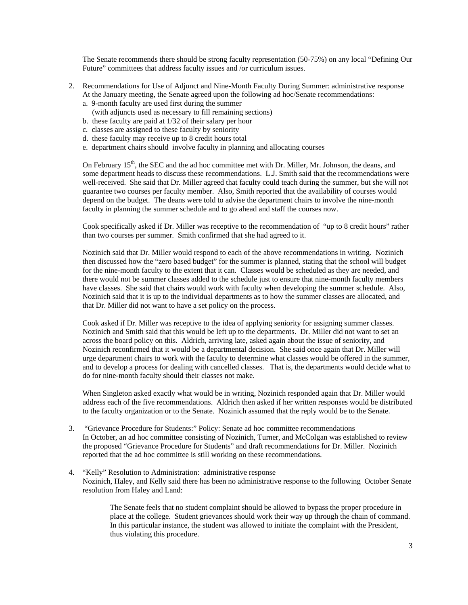The Senate recommends there should be strong faculty representation (50-75%) on any local "Defining Our Future" committees that address faculty issues and /or curriculum issues.

- 2. Recommendations for Use of Adjunct and Nine-Month Faculty During Summer: administrative response At the January meeting, the Senate agreed upon the following ad hoc/Senate recommendations:
	- a. 9-month faculty are used first during the summer
	- (with adjuncts used as necessary to fill remaining sections)
	- b. these faculty are paid at 1/32 of their salary per hour
	- c. classes are assigned to these faculty by seniority
	- d. these faculty may receive up to 8 credit hours total
	- e. department chairs should involve faculty in planning and allocating courses

On February 15<sup>th</sup>, the SEC and the ad hoc committee met with Dr. Miller, Mr. Johnson, the deans, and some department heads to discuss these recommendations. L.J. Smith said that the recommendations were well-received. She said that Dr. Miller agreed that faculty could teach during the summer, but she will not guarantee two courses per faculty member. Also, Smith reported that the availability of courses would depend on the budget. The deans were told to advise the department chairs to involve the nine-month faculty in planning the summer schedule and to go ahead and staff the courses now.

Cook specifically asked if Dr. Miller was receptive to the recommendation of "up to 8 credit hours" rather than two courses per summer. Smith confirmed that she had agreed to it.

Nozinich said that Dr. Miller would respond to each of the above recommendations in writing. Nozinich then discussed how the "zero based budget" for the summer is planned, stating that the school will budget for the nine-month faculty to the extent that it can. Classes would be scheduled as they are needed, and there would not be summer classes added to the schedule just to ensure that nine-month faculty members have classes. She said that chairs would work with faculty when developing the summer schedule. Also, Nozinich said that it is up to the individual departments as to how the summer classes are allocated, and that Dr. Miller did not want to have a set policy on the process.

Cook asked if Dr. Miller was receptive to the idea of applying seniority for assigning summer classes. Nozinich and Smith said that this would be left up to the departments. Dr. Miller did not want to set an across the board policy on this. Aldrich, arriving late, asked again about the issue of seniority, and Nozinich reconfirmed that it would be a departmental decision. She said once again that Dr. Miller will urge department chairs to work with the faculty to determine what classes would be offered in the summer, and to develop a process for dealing with cancelled classes. That is, the departments would decide what to do for nine-month faculty should their classes not make.

When Singleton asked exactly what would be in writing, Nozinich responded again that Dr. Miller would address each of the five recommendations. Aldrich then asked if her written responses would be distributed to the faculty organization or to the Senate. Nozinich assumed that the reply would be to the Senate.

- 3. "Grievance Procedure for Students:" Policy: Senate ad hoc committee recommendations In October, an ad hoc committee consisting of Nozinich, Turner, and McColgan was established to review the proposed "Grievance Procedure for Students" and draft recommendations for Dr. Miller. Nozinich reported that the ad hoc committee is still working on these recommendations.
- 4. "Kelly" Resolution to Administration: administrative response Nozinich, Haley, and Kelly said there has been no administrative response to the following October Senate resolution from Haley and Land:

The Senate feels that no student complaint should be allowed to bypass the proper procedure in place at the college. Student grievances should work their way up through the chain of command. In this particular instance, the student was allowed to initiate the complaint with the President, thus violating this procedure.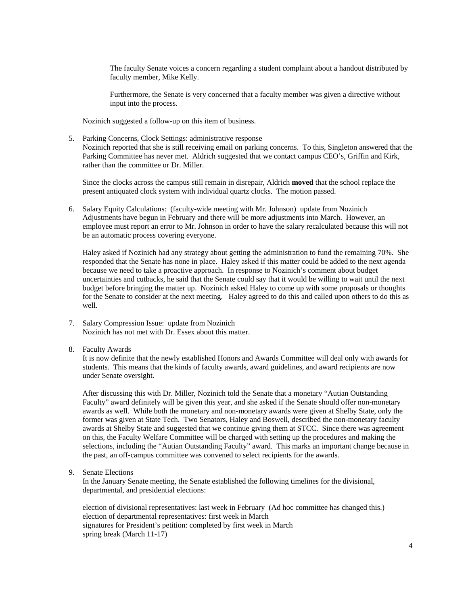The faculty Senate voices a concern regarding a student complaint about a handout distributed by faculty member, Mike Kelly.

Furthermore, the Senate is very concerned that a faculty member was given a directive without input into the process.

Nozinich suggested a follow-up on this item of business.

5. Parking Concerns, Clock Settings: administrative response Nozinich reported that she is still receiving email on parking concerns. To this, Singleton answered that the Parking Committee has never met. Aldrich suggested that we contact campus CEO's, Griffin and Kirk, rather than the committee or Dr. Miller.

Since the clocks across the campus still remain in disrepair, Aldrich **moved** that the school replace the present antiquated clock system with individual quartz clocks. The motion passed.

6. Salary Equity Calculations: (faculty-wide meeting with Mr. Johnson) update from Nozinich Adjustments have begun in February and there will be more adjustments into March. However, an employee must report an error to Mr. Johnson in order to have the salary recalculated because this will not be an automatic process covering everyone.

Haley asked if Nozinich had any strategy about getting the administration to fund the remaining 70%. She responded that the Senate has none in place. Haley asked if this matter could be added to the next agenda because we need to take a proactive approach. In response to Nozinich's comment about budget uncertainties and cutbacks, he said that the Senate could say that it would be willing to wait until the next budget before bringing the matter up. Nozinich asked Haley to come up with some proposals or thoughts for the Senate to consider at the next meeting. Haley agreed to do this and called upon others to do this as well.

- 7. Salary Compression Issue: update from Nozinich Nozinich has not met with Dr. Essex about this matter.
- 8. Faculty Awards

It is now definite that the newly established Honors and Awards Committee will deal only with awards for students. This means that the kinds of faculty awards, award guidelines, and award recipients are now under Senate oversight.

After discussing this with Dr. Miller, Nozinich told the Senate that a monetary "Autian Outstanding Faculty" award definitely will be given this year, and she asked if the Senate should offer non-monetary awards as well. While both the monetary and non-monetary awards were given at Shelby State, only the former was given at State Tech. Two Senators, Haley and Boswell, described the non-monetary faculty awards at Shelby State and suggested that we continue giving them at STCC. Since there was agreement on this, the Faculty Welfare Committee will be charged with setting up the procedures and making the selections, including the "Autian Outstanding Faculty" award. This marks an important change because in the past, an off-campus committee was convened to select recipients for the awards.

9. Senate Elections

In the January Senate meeting, the Senate established the following timelines for the divisional, departmental, and presidential elections:

election of divisional representatives: last week in February (Ad hoc committee has changed this.) election of departmental representatives: first week in March signatures for President's petition: completed by first week in March spring break (March 11-17)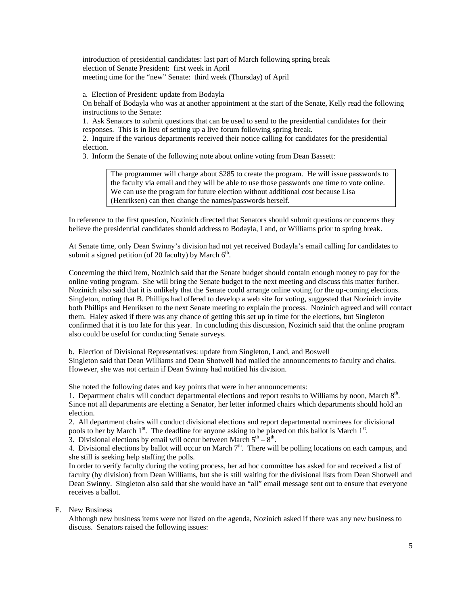introduction of presidential candidates: last part of March following spring break election of Senate President: first week in April meeting time for the "new" Senate: third week (Thursday) of April

a. Election of President: update from Bodayla

On behalf of Bodayla who was at another appointment at the start of the Senate, Kelly read the following instructions to the Senate:

1. Ask Senators to submit questions that can be used to send to the presidential candidates for their responses. This is in lieu of setting up a live forum following spring break.

2. Inquire if the various departments received their notice calling for candidates for the presidential election.

3. Inform the Senate of the following note about online voting from Dean Bassett:

The programmer will charge about \$285 to create the program. He will issue passwords to the faculty via email and they will be able to use those passwords one time to vote online. We can use the program for future election without additional cost because Lisa (Henriksen) can then change the names/passwords herself.

In reference to the first question, Nozinich directed that Senators should submit questions or concerns they believe the presidential candidates should address to Bodayla, Land, or Williams prior to spring break.

At Senate time, only Dean Swinny's division had not yet received Bodayla's email calling for candidates to submit a signed petition (of 20 faculty) by March  $6<sup>th</sup>$ .

Concerning the third item, Nozinich said that the Senate budget should contain enough money to pay for the online voting program. She will bring the Senate budget to the next meeting and discuss this matter further. Nozinich also said that it is unlikely that the Senate could arrange online voting for the up-coming elections. Singleton, noting that B. Phillips had offered to develop a web site for voting, suggested that Nozinich invite both Phillips and Henriksen to the next Senate meeting to explain the process. Nozinich agreed and will contact them. Haley asked if there was any chance of getting this set up in time for the elections, but Singleton confirmed that it is too late for this year. In concluding this discussion, Nozinich said that the online program also could be useful for conducting Senate surveys.

b. Election of Divisional Representatives: update from Singleton, Land, and Boswell

Singleton said that Dean Williams and Dean Shotwell had mailed the announcements to faculty and chairs. However, she was not certain if Dean Swinny had notified his division.

She noted the following dates and key points that were in her announcements:

1. Department chairs will conduct departmental elections and report results to Williams by noon, March  $8<sup>th</sup>$ . Since not all departments are electing a Senator, her letter informed chairs which departments should hold an election.

2. All department chairs will conduct divisional elections and report departmental nominees for divisional pools to her by March 1<sup>st</sup>. The deadline for anyone asking to be placed on this ballot is March 1<sup>st</sup>. 3. Divisional elections by email will occur between March  $5<sup>th</sup> - 8<sup>th</sup>$ .

4. Divisional elections by ballot will occur on March  $7<sup>th</sup>$ . There will be polling locations on each campus, and she still is seeking help staffing the polls.

In order to verify faculty during the voting process, her ad hoc committee has asked for and received a list of faculty (by division) from Dean Williams, but she is still waiting for the divisional lists from Dean Shotwell and Dean Swinny. Singleton also said that she would have an "all" email message sent out to ensure that everyone receives a ballot.

E. New Business

Although new business items were not listed on the agenda, Nozinich asked if there was any new business to discuss. Senators raised the following issues: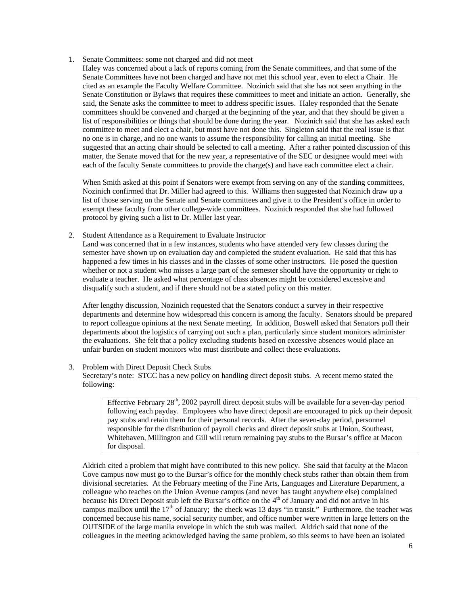- 1. Senate Committees: some not charged and did not meet
	- Haley was concerned about a lack of reports coming from the Senate committees, and that some of the Senate Committees have not been charged and have not met this school year, even to elect a Chair. He cited as an example the Faculty Welfare Committee. Nozinich said that she has not seen anything in the Senate Constitution or Bylaws that requires these committees to meet and initiate an action. Generally, she said, the Senate asks the committee to meet to address specific issues. Haley responded that the Senate committees should be convened and charged at the beginning of the year, and that they should be given a list of responsibilities or things that should be done during the year. Nozinich said that she has asked each committee to meet and elect a chair, but most have not done this. Singleton said that the real issue is that no one is in charge, and no one wants to assume the responsibility for calling an initial meeting. She suggested that an acting chair should be selected to call a meeting. After a rather pointed discussion of this matter, the Senate moved that for the new year, a representative of the SEC or designee would meet with each of the faculty Senate committees to provide the charge(s) and have each committee elect a chair.

When Smith asked at this point if Senators were exempt from serving on any of the standing committees, Nozinich confirmed that Dr. Miller had agreed to this. Williams then suggested that Nozinich draw up a list of those serving on the Senate and Senate committees and give it to the President's office in order to exempt these faculty from other college-wide committees. Nozinich responded that she had followed protocol by giving such a list to Dr. Miller last year.

2. Student Attendance as a Requirement to Evaluate Instructor

Land was concerned that in a few instances, students who have attended very few classes during the semester have shown up on evaluation day and completed the student evaluation. He said that this has happened a few times in his classes and in the classes of some other instructors. He posed the question whether or not a student who misses a large part of the semester should have the opportunity or right to evaluate a teacher. He asked what percentage of class absences might be considered excessive and disqualify such a student, and if there should not be a stated policy on this matter.

After lengthy discussion, Nozinich requested that the Senators conduct a survey in their respective departments and determine how widespread this concern is among the faculty. Senators should be prepared to report colleague opinions at the next Senate meeting. In addition, Boswell asked that Senators poll their departments about the logistics of carrying out such a plan, particularly since student monitors administer the evaluations. She felt that a policy excluding students based on excessive absences would place an unfair burden on student monitors who must distribute and collect these evaluations.

#### 3. Problem with Direct Deposit Check Stubs

Secretary's note: STCC has a new policy on handling direct deposit stubs. A recent memo stated the following:

Effective February  $28<sup>th</sup>$ , 2002 payroll direct deposit stubs will be available for a seven-day period following each payday. Employees who have direct deposit are encouraged to pick up their deposit pay stubs and retain them for their personal records. After the seven-day period, personnel responsible for the distribution of payroll checks and direct deposit stubs at Union, Southeast, Whitehaven, Millington and Gill will return remaining pay stubs to the Bursar's office at Macon for disposal.

Aldrich cited a problem that might have contributed to this new policy. She said that faculty at the Macon Cove campus now must go to the Bursar's office for the monthly check stubs rather than obtain them from divisional secretaries. At the February meeting of the Fine Arts, Languages and Literature Department, a colleague who teaches on the Union Avenue campus (and never has taught anywhere else) complained because his Direct Deposit stub left the Bursar's office on the 4<sup>th</sup> of January and did not arrive in his campus mailbox until the  $17<sup>th</sup>$  of January; the check was 13 days "in transit." Furthermore, the teacher was concerned because his name, social security number, and office number were written in large letters on the OUTSIDE of the large manila envelope in which the stub was mailed. Aldrich said that none of the colleagues in the meeting acknowledged having the same problem, so this seems to have been an isolated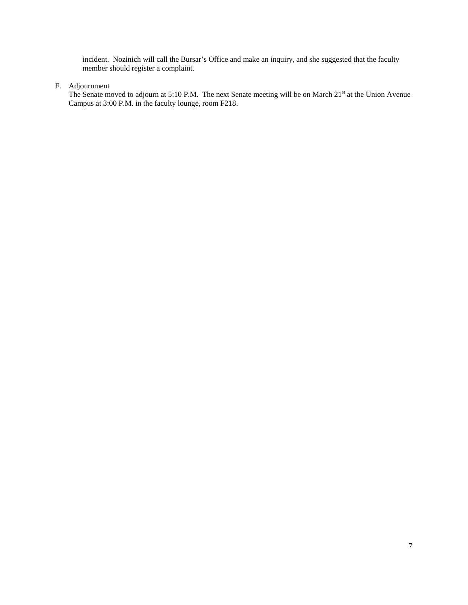incident. Nozinich will call the Bursar's Office and make an inquiry, and she suggested that the faculty member should register a complaint.

## F. Adjournment

The Senate moved to adjourn at 5:10 P.M. The next Senate meeting will be on March 21<sup>st</sup> at the Union Avenue Campus at 3:00 P.M. in the faculty lounge, room F218.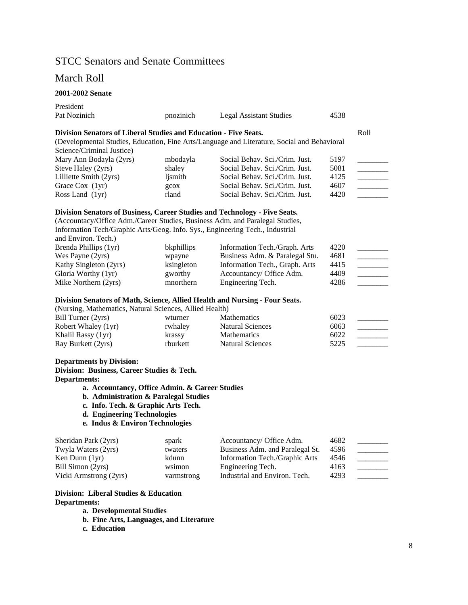# STCC Senators and Senate Committees

# March Roll

## **2001-2002 Senate**

| President                                                                     |            |                                                                                             |      |      |
|-------------------------------------------------------------------------------|------------|---------------------------------------------------------------------------------------------|------|------|
| Pat Nozinich                                                                  | pnozinich  | <b>Legal Assistant Studies</b>                                                              | 4538 |      |
| Division Senators of Liberal Studies and Education - Five Seats.              |            |                                                                                             |      | Roll |
|                                                                               |            | (Developmental Studies, Education, Fine Arts/Language and Literature, Social and Behavioral |      |      |
| Science/Criminal Justice)                                                     |            |                                                                                             |      |      |
| Mary Ann Bodayla (2yrs)                                                       | mbodayla   | Social Behav. Sci./Crim. Just.                                                              | 5197 |      |
| Steve Haley (2yrs)                                                            | shaley     | Social Behav. Sci./Crim. Just.                                                              | 5081 |      |
| Lilliette Smith (2yrs)                                                        | ljsmith    | Social Behav. Sci./Crim. Just.                                                              | 4125 |      |
| Grace Cox (1yr)                                                               | gcox       | Social Behav. Sci./Crim. Just.                                                              | 4607 |      |
| Ross Land (1yr)                                                               | rland      | Social Behav. Sci./Crim. Just.                                                              | 4420 |      |
| Division Senators of Business, Career Studies and Technology - Five Seats.    |            |                                                                                             |      |      |
| (Accountacy/Office Adm./Career Studies, Business Adm. and Paralegal Studies,  |            |                                                                                             |      |      |
| Information Tech/Graphic Arts/Geog. Info. Sys., Engineering Tech., Industrial |            |                                                                                             |      |      |
| and Environ. Tech.)                                                           |            |                                                                                             |      |      |
| Brenda Phillips (1yr)                                                         | bkphillips | Information Tech./Graph. Arts                                                               | 4220 |      |
| Wes Payne (2yrs)                                                              | wpayne     | Business Adm. & Paralegal Stu.                                                              | 4681 |      |
| Kathy Singleton (2yrs)                                                        | ksingleton | Information Tech., Graph. Arts                                                              | 4415 |      |
| Gloria Worthy (1yr)                                                           | gworthy    | Accountancy/ Office Adm.                                                                    | 4409 |      |
| Mike Northern (2yrs)                                                          | mnorthern  | Engineering Tech.                                                                           | 4286 |      |
| Division Senators of Math, Science, Allied Health and Nursing - Four Seats.   |            |                                                                                             |      |      |
| (Nursing, Mathematics, Natural Sciences, Allied Health)                       |            |                                                                                             |      |      |
| Bill Turner (2yrs)                                                            | wturner    | <b>Mathematics</b>                                                                          | 6023 |      |
| Robert Whaley (1yr)                                                           | rwhaley    | <b>Natural Sciences</b>                                                                     | 6063 |      |
| Khalil Rassy (1yr)                                                            | krassy     | <b>Mathematics</b>                                                                          | 6022 |      |
| Ray Burkett (2yrs)                                                            | rburkett   | <b>Natural Sciences</b>                                                                     | 5225 |      |
| <b>Departments by Division:</b>                                               |            |                                                                                             |      |      |
| Division: Business, Career Studies & Tech.                                    |            |                                                                                             |      |      |
| <b>Departments:</b>                                                           |            |                                                                                             |      |      |
| a. Accountancy, Office Admin. & Career Studies                                |            |                                                                                             |      |      |
| b. Administration & Paralegal Studies                                         |            |                                                                                             |      |      |
| c. Info. Tech. & Graphic Arts Tech.                                           |            |                                                                                             |      |      |
| d. Engineering Technologies                                                   |            |                                                                                             |      |      |
| e. Indus & Environ Technologies                                               |            |                                                                                             |      |      |
| Sheridan Park (2yrs)                                                          | spark      | Accountancy/ Office Adm.                                                                    | 4682 |      |
| Twyla Waters (2yrs)                                                           | twaters    | Business Adm. and Paralegal St.                                                             | 4596 |      |
| Ken Dunn (1yr)                                                                | kdunn      | Information Tech./Graphic Arts                                                              | 4546 |      |
| Bill Simon (2yrs)                                                             | wsimon     | Engineering Tech.                                                                           | 4163 |      |
| Vicki Armstrong (2yrs)                                                        | varmstrong | Industrial and Environ. Tech.                                                               | 4293 |      |
| Division: Liberal Studies & Education                                         |            |                                                                                             |      |      |

## **Departments:**

**a. Developmental Studies** 

**b. Fine Arts, Languages, and Literature** 

**c. Education**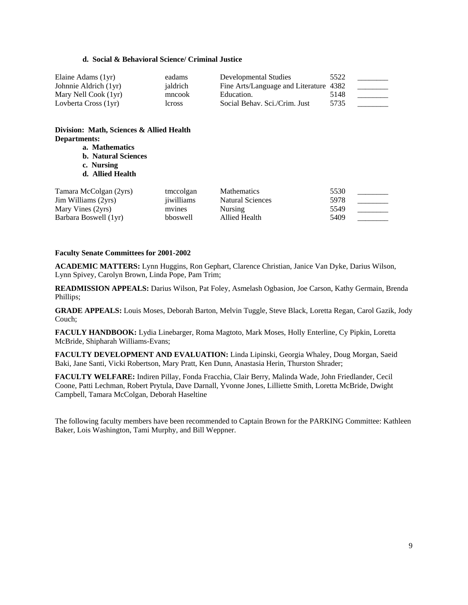#### **d. Social & Behavioral Science/ Criminal Justice**

| Elaine Adams (1yr)    | eadams   | Developmental Studies                  | 5522 |  |
|-----------------------|----------|----------------------------------------|------|--|
| Johnnie Aldrich (1yr) | jaldrich | Fine Arts/Language and Literature 4382 |      |  |
| Mary Nell Cook (1yr)  | mncook   | Education.                             | 5148 |  |
| Lovberta Cross (1yr)  | leross   | Social Behav. Sci./Crim. Just          | 5735 |  |

## **Division: Math, Sciences & Allied Health Departments:**

- **a. Mathematics**
- **b. Natural Sciences**
- **c. Nursing**
- **d. Allied Health**

| Tamara McColgan (2yrs) | tmccolgan  | <b>Mathematics</b> | 5530 |  |
|------------------------|------------|--------------------|------|--|
| Jim Williams (2yrs)    | jiwilliams | Natural Sciences   | 5978 |  |
| Mary Vines (2yrs)      | mvines     | Nursing            | 5549 |  |
| Barbara Boswell (1yr)  | bboswell   | Allied Health      | 5409 |  |

#### **Faculty Senate Committees for 2001-2002**

**ACADEMIC MATTERS:** Lynn Huggins, Ron Gephart, Clarence Christian, Janice Van Dyke, Darius Wilson, Lynn Spivey, Carolyn Brown, Linda Pope, Pam Trim;

**READMISSION APPEALS:** Darius Wilson, Pat Foley, Asmelash Ogbasion, Joe Carson, Kathy Germain, Brenda Phillips;

**GRADE APPEALS:** Louis Moses, Deborah Barton, Melvin Tuggle, Steve Black, Loretta Regan, Carol Gazik, Jody Couch;

**FACULY HANDBOOK:** Lydia Linebarger, Roma Magtoto, Mark Moses, Holly Enterline, Cy Pipkin, Loretta McBride, Shipharah Williams-Evans;

**FACULTY DEVELOPMENT AND EVALUATION:** Linda Lipinski, Georgia Whaley, Doug Morgan, Saeid Baki, Jane Santi, Vicki Robertson, Mary Pratt, Ken Dunn, Anastasia Herin, Thurston Shrader;

**FACULTY WELFARE:** Indiren Pillay, Fonda Fracchia, Clair Berry, Malinda Wade, John Friedlander, Cecil Coone, Patti Lechman, Robert Prytula, Dave Darnall, Yvonne Jones, Lilliette Smith, Loretta McBride, Dwight Campbell, Tamara McColgan, Deborah Haseltine

The following faculty members have been recommended to Captain Brown for the PARKING Committee: Kathleen Baker, Lois Washington, Tami Murphy, and Bill Weppner.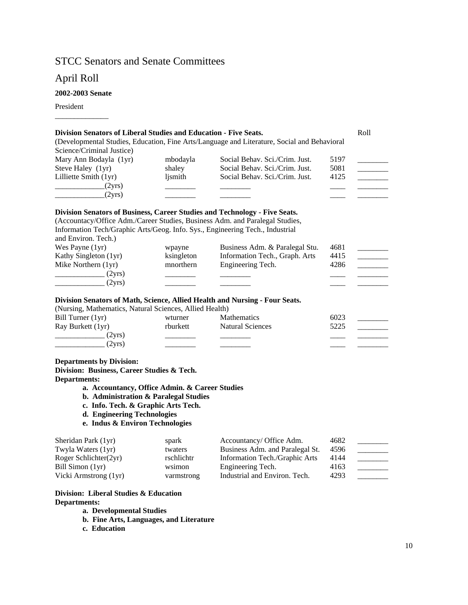# STCC Senators and Senate Committees

# April Roll

## **2002-2003 Senate**

\_\_\_\_\_\_\_\_\_\_\_\_\_\_

President

| Division Senators of Liberal Studies and Education - Five Seats.              |            |                                                                                             |      | Roll                                     |
|-------------------------------------------------------------------------------|------------|---------------------------------------------------------------------------------------------|------|------------------------------------------|
|                                                                               |            | (Developmental Studies, Education, Fine Arts/Language and Literature, Social and Behavioral |      |                                          |
| Science/Criminal Justice)                                                     |            |                                                                                             |      |                                          |
| Mary Ann Bodayla (1yr)                                                        | mbodayla   | Social Behav. Sci./Crim. Just.                                                              | 5197 |                                          |
| Steve Haley (1yr)                                                             | shaley     | Social Behav. Sci./Crim. Just.                                                              | 5081 |                                          |
| Lilliette Smith (1yr)                                                         | ljsmith    | Social Behav. Sci./Crim. Just.                                                              | 4125 |                                          |
| (2yrs)                                                                        |            |                                                                                             |      |                                          |
| (2yrs)                                                                        |            |                                                                                             |      |                                          |
| Division Senators of Business, Career Studies and Technology - Five Seats.    |            |                                                                                             |      |                                          |
| (Accountacy/Office Adm./Career Studies, Business Adm. and Paralegal Studies,  |            |                                                                                             |      |                                          |
| Information Tech/Graphic Arts/Geog. Info. Sys., Engineering Tech., Industrial |            |                                                                                             |      |                                          |
| and Environ. Tech.)                                                           |            |                                                                                             |      |                                          |
| Wes Payne (1yr)                                                               | wpayne     | Business Adm. & Paralegal Stu.                                                              | 4681 |                                          |
| Kathy Singleton (1yr)                                                         | ksingleton | Information Tech., Graph. Arts                                                              | 4415 |                                          |
| Mike Northern (1yr)                                                           | mnorthern  | Engineering Tech.                                                                           | 4286 |                                          |
| (2yrs)                                                                        |            |                                                                                             |      |                                          |
| (2yrs)                                                                        |            |                                                                                             |      |                                          |
| Division Senators of Math, Science, Allied Health and Nursing - Four Seats.   |            |                                                                                             |      |                                          |
| (Nursing, Mathematics, Natural Sciences, Allied Health)                       |            |                                                                                             |      |                                          |
| Bill Turner (1yr)                                                             | wturner    | <b>Mathematics</b>                                                                          | 6023 |                                          |
| Ray Burkett (1yr)                                                             | rburkett   | <b>Natural Sciences</b>                                                                     | 5225 |                                          |
| $\frac{1}{2}$ (2yrs)                                                          |            |                                                                                             |      |                                          |
| $\frac{1}{2}$ (2yrs)                                                          |            |                                                                                             |      |                                          |
| <b>Departments by Division:</b>                                               |            |                                                                                             |      |                                          |
| Division: Business, Career Studies & Tech.                                    |            |                                                                                             |      |                                          |
| <b>Departments:</b>                                                           |            |                                                                                             |      |                                          |
| a. Accountancy, Office Admin. & Career Studies                                |            |                                                                                             |      |                                          |
| b. Administration & Paralegal Studies                                         |            |                                                                                             |      |                                          |
| c. Info. Tech. & Graphic Arts Tech.                                           |            |                                                                                             |      |                                          |
| d. Engineering Technologies                                                   |            |                                                                                             |      |                                          |
| e. Indus & Environ Technologies                                               |            |                                                                                             |      |                                          |
| Sheridan Park (1yr)                                                           | spark      | Accountancy/ Office Adm.                                                                    | 4682 |                                          |
| Twyla Waters (1yr)                                                            | twaters    | Business Adm. and Paralegal St.                                                             | 4596 | $\mathcal{L}$ . The set of $\mathcal{L}$ |
| Roger Schlichter(2yr)                                                         | rschlichtr | Information Tech./Graphic Arts                                                              | 4144 | $\overline{\phantom{a}}$                 |
| Bill Simon (1yr)                                                              | wsimon     | Engineering Tech.                                                                           | 4163 |                                          |
| Vicki Armstrong (1yr)                                                         | varmstrong | Industrial and Environ. Tech.                                                               | 4293 |                                          |
| Division: Liberal Studies & Education                                         |            |                                                                                             |      |                                          |

**a. Developmental Studies** 

**b. Fine Arts, Languages, and Literature** 

**c. Education**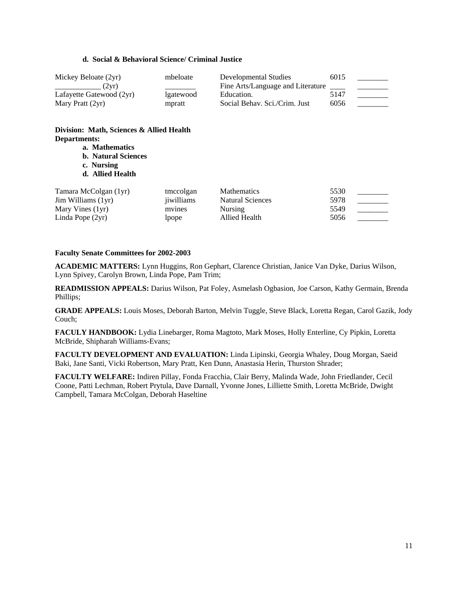### **d. Social & Behavioral Science/ Criminal Justice**

| Mickey Beloate (2yr)                                                                                                           | mbeloate  | Developmental Studies             | 6015 |  |
|--------------------------------------------------------------------------------------------------------------------------------|-----------|-----------------------------------|------|--|
| (2yr)<br><u> 1986 - Alexandr Alexandr III, prima populație de la proprietat de la proprietat de la proprietat de la propri</u> |           | Fine Arts/Language and Literature |      |  |
| Lafayette Gatewood (2yr)                                                                                                       | lgatewood | Education.                        | 5147 |  |
| Mary Pratt $(2yr)$                                                                                                             | mpratt    | Social Behav. Sci./Crim. Just     | 6056 |  |

## **Division: Math, Sciences & Allied Health Departments:**

- **a. Mathematics**
- **b. Natural Sciences**
- **c. Nursing**
- **d. Allied Health**

| Tamara McColgan (1yr)       | tmccolgan  | <b>Mathematics</b> | 5530 |  |
|-----------------------------|------------|--------------------|------|--|
| $\text{Jim Williams (1vr)}$ | jiwilliams | Natural Sciences   | 5978 |  |
| Mary Vines (1yr)            | mvines     | <b>Nursing</b>     | 5549 |  |
| Linda Pope $(2yr)$          | Ipope      | Allied Health      | 5056 |  |

#### **Faculty Senate Committees for 2002-2003**

**ACADEMIC MATTERS:** Lynn Huggins, Ron Gephart, Clarence Christian, Janice Van Dyke, Darius Wilson, Lynn Spivey, Carolyn Brown, Linda Pope, Pam Trim;

**READMISSION APPEALS:** Darius Wilson, Pat Foley, Asmelash Ogbasion, Joe Carson, Kathy Germain, Brenda Phillips;

**GRADE APPEALS:** Louis Moses, Deborah Barton, Melvin Tuggle, Steve Black, Loretta Regan, Carol Gazik, Jody Couch;

**FACULY HANDBOOK:** Lydia Linebarger, Roma Magtoto, Mark Moses, Holly Enterline, Cy Pipkin, Loretta McBride, Shipharah Williams-Evans;

**FACULTY DEVELOPMENT AND EVALUATION:** Linda Lipinski, Georgia Whaley, Doug Morgan, Saeid Baki, Jane Santi, Vicki Robertson, Mary Pratt, Ken Dunn, Anastasia Herin, Thurston Shrader;

**FACULTY WELFARE:** Indiren Pillay, Fonda Fracchia, Clair Berry, Malinda Wade, John Friedlander, Cecil Coone, Patti Lechman, Robert Prytula, Dave Darnall, Yvonne Jones, Lilliette Smith, Loretta McBride, Dwight Campbell, Tamara McColgan, Deborah Haseltine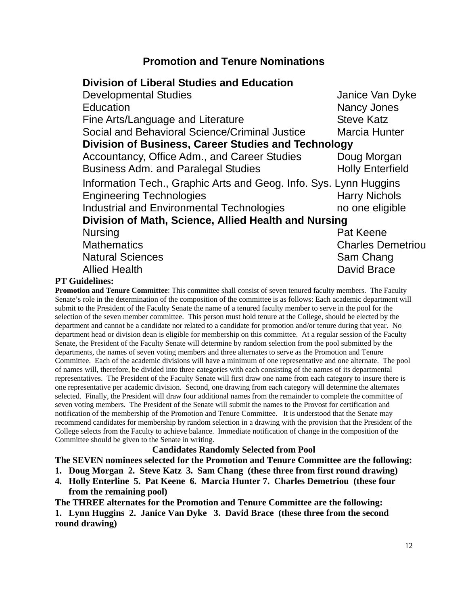# **Promotion and Tenure Nominations**

# **Division of Liberal Studies and Education**

|              | <b>Developmental Studies</b>                                      | Janice Van Dyke          |
|--------------|-------------------------------------------------------------------|--------------------------|
|              | Education                                                         | Nancy Jones              |
|              | Fine Arts/Language and Literature                                 | <b>Steve Katz</b>        |
|              | Social and Behavioral Science/Criminal Justice                    | <b>Marcia Hunter</b>     |
|              | <b>Division of Business, Career Studies and Technology</b>        |                          |
|              | Accountancy, Office Adm., and Career Studies                      | Doug Morgan              |
|              | <b>Business Adm. and Paralegal Studies</b>                        | <b>Holly Enterfield</b>  |
|              | Information Tech., Graphic Arts and Geog. Info. Sys. Lynn Huggins |                          |
|              | <b>Engineering Technologies</b>                                   | <b>Harry Nichols</b>     |
|              | <b>Industrial and Environmental Technologies</b>                  | no one eligible          |
|              | Division of Math, Science, Allied Health and Nursing              |                          |
|              | <b>Nursing</b>                                                    | Pat Keene                |
|              | <b>Mathematics</b>                                                | <b>Charles Demetriou</b> |
|              | <b>Natural Sciences</b>                                           | Sam Chang                |
|              | <b>Allied Health</b>                                              | <b>David Brace</b>       |
| <b>DO 41</b> |                                                                   |                          |

## **PT Guidelines:**

**Promotion and Tenure Committee**: This committee shall consist of seven tenured faculty members. The Faculty Senate's role in the determination of the composition of the committee is as follows: Each academic department will submit to the President of the Faculty Senate the name of a tenured faculty member to serve in the pool for the selection of the seven member committee. This person must hold tenure at the College, should be elected by the department and cannot be a candidate nor related to a candidate for promotion and/or tenure during that year. No department head or division dean is eligible for membership on this committee. At a regular session of the Faculty Senate, the President of the Faculty Senate will determine by random selection from the pool submitted by the departments, the names of seven voting members and three alternates to serve as the Promotion and Tenure Committee. Each of the academic divisions will have a minimum of one representative and one alternate. The pool of names will, therefore, be divided into three categories with each consisting of the names of its departmental representatives. The President of the Faculty Senate will first draw one name from each category to insure there is one representative per academic division. Second, one drawing from each category will determine the alternates selected. Finally, the President will draw four additional names from the remainder to complete the committee of seven voting members. The President of the Senate will submit the names to the Provost for certification and notification of the membership of the Promotion and Tenure Committee. It is understood that the Senate may recommend candidates for membership by random selection in a drawing with the provision that the President of the College selects from the Faculty to achieve balance. Immediate notification of change in the composition of the Committee should be given to the Senate in writing.

## **Candidates Randomly Selected from Pool**

**The SEVEN nominees selected for the Promotion and Tenure Committee are the following:** 

**1. Doug Morgan 2. Steve Katz 3. Sam Chang (these three from first round drawing)** 

**4. Holly Enterline 5. Pat Keene 6. Marcia Hunter 7. Charles Demetriou (these four from the remaining pool)** 

**The THREE alternates for the Promotion and Tenure Committee are the following:** 

**1. Lynn Huggins 2. Janice Van Dyke 3. David Brace (these three from the second round drawing)**